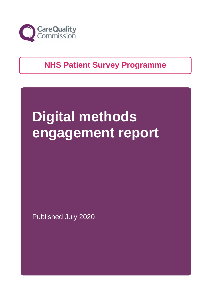

### **NHS Patient Survey Programme**

# **Digital methods engagement report**

Published July 2020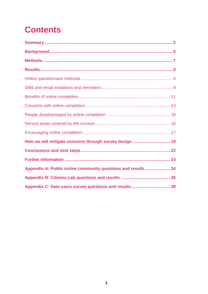# **Contents**

<span id="page-1-0"></span>

| How we will mitigate concerns through survey design  19       |  |
|---------------------------------------------------------------|--|
|                                                               |  |
|                                                               |  |
| Appendix A: Public online community questions and results  24 |  |
|                                                               |  |
|                                                               |  |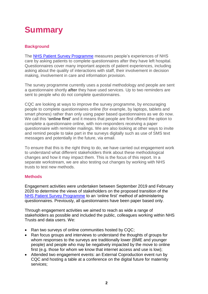# **Summary**

### **Background**

The [NHS Patient Survey Programme](https://www.cqc.org.uk/publications/surveys/surveys-programme-information) measures people's experiences of NHS care by asking patients to complete questionnaires after they have left hospital. Questionnaires cover many important aspects of patient experiences, including asking about the quality of interactions with staff, their involvement in decision making, involvement in care and information provision.

The survey programme currently uses a postal methodology and people are sent a questionnaire shortly **after** they have used services. Up to two reminders are sent to people who do not complete questionnaires.

CQC are looking at ways to improve the survey programme, by encouraging people to complete questionnaires online (for example, by laptops, tablets and smart phones) rather than only using paper based questionnaires as we do now. We call this **'online first'** and it means that people are first offered the option to complete a questionnaire online, with non-responders receiving a paper questionnaire with reminder mailings. We are also looking at other ways to invite and remind people to take part in the surveys digitally such as use of SMS text messages and potentially in the future, via email.

To ensure that this is the right thing to do, we have carried out engagement work to understand what different stakeholders think about these methodological changes and how it may impact them. This is the focus of this report. In a separate workstream, we are also testing out changes by working with NHS trusts to test new methods.

### **Methods**

Engagement activities were undertaken between September 2019 and February 2020 to determine the views of stakeholders on the proposed transition of the [NHS Patient Survey Programme](https://www.cqc.org.uk/publications/surveys/surveys-programme-information) to an 'online first' method of administering questionnaires. Previously, all questionnaires have been paper based only.

Through engagement activities we aimed to reach as wide a range of stakeholders as possible and included the public, colleagues working within NHS Trusts and data users. We:

- Ran two surveys of online communities hosted by CQC;
- Ran focus groups and interviews to understand the thoughts of groups for whom responses to the surveys are traditionally lower (BME and younger people) and people who may be negatively impacted by the move to online first (e.g. those for whom we know that internet access and use is low);
- Attended two engagement events: an External Coproduction event run by CQC and hosting a table at a conference on the digital future for maternity services;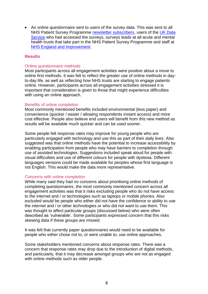• An online questionnaire sent to users of the survey data. This was sent to all NHS Patient Survey Programme [newsletter subscribers,](https://content.govdelivery.com/bulletins/gd/UKCQC-2745b3c?wgt_ref=UKCQC_WIDGET_5) users of the UK Data [Service](https://ukdataservice.ac.uk/) who had accessed the surveys, surveys leads at all acute and mental health trusts that take part in the NHS Patient Survey Programme and staff at [NHS England and](https://www.england.nhs.uk/2020/01/rapid-nhs-response-teams-to-help-people-stay-well-at-home/) Improvement.

#### **Results**

#### Online questionnaire methods

Most participants across all engagement activities were positive about a move to online first methods. It was felt to reflect the greater use of online methods in dayto-day life, as well as reflecting how NHS trusts are starting to engage patients online. However, participants across all engagement activities stressed it is important that consideration is given to those that might experience difficulties with using an online approach.

#### Benefits of online completion

Most commonly mentioned benefits included environmental (less paper) and convenience (quicker / easier / allowing respondents instant access) and more cost effective. People also believe end users will benefit from this new method as results will be available much quicker and can be used sooner.

Some people felt response rates may improve for young people who are particularly engaged with technology and use this as part of their daily lives. Also suggested was that online methods have the potential to increase accessibility by enabling participation from people who may have barriers to completion through use of assisted technologies. Suggestions included speak aloud for people with visual difficulties and use of different colours for people with dyslexia. Different languages versions could be made available for peoples whose first language is not English. This would make the data more representative.

#### Concerns with online completion

While many said they had no concerns about prioritising online methods of completing questionnaires, the most commonly mentioned concern across all engagement activities was that it risks excluding people who do not have access to the internet and / or technologies such as laptops or mobile phones. Also excluded would be people who either did not have the confidence or ability to use the internet and / or other technologies or who did not want to use them. This was thought to affect particular groups (discussed below) who were often described as 'vulnerable'. Some participants expressed concern that this risks skewing data if these groups are missed.

It was felt that currently paper questionnaires would need to be available for people who either chose not to, or were unable to, use online approaches.

Some stakeholders mentioned concerns about response rates. There was a concern that response rates may drop due to the introduction of digital methods, and particularly, that it may decrease amongst groups who are not as engaged with online methods such as older people.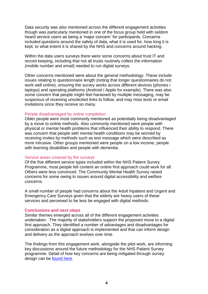Data security was also mentioned across the different engagement activities though was particularly mentioned in one of the focus group held with seldom heard service users as being a 'major concern' for participants. Concerns included questions around the safety of data, what it is used for, how long it is kept, to what extent it is shared by the NHS and concerns around hacking.

Within the data users surveys there were some concerns about trust IT and record keeping, including that not all trusts routinely collect the information (mobile number and email) needed to run digital surveys.

Other concerns mentioned were about the general methodology. These include issues relating to questionnaire length (noting that longer questionnaires do not work well online), ensuring the survey works across different devices (phones / laptops) and operating platforms (Android / Apple for example). There was also some concern that people might feel harassed by multiple messaging, may be suspicious of receiving unsolicited links to follow, and may miss texts or email invitations since they receive so many.

#### People disadvantaged by online completion

Older people were most commonly mentioned as potentially being disadvantaged by a move to online methods. Also commonly mentioned were people with physical or mental health problems that influenced their ability to respond. There was concern that people with mental health conditions may be worried by receiving invites by methods such as text message which were described as more intrusive. Other groups mentioned were people on a low income, people with learning disabilities and people with dementia.

#### Service areas covered by the surveys

Of the five different service types included within the NHS Patient Survey Programme, most people felt content an online first approach could work for all. Others were less convinced. The Community Mental Health Survey raised concerns for some owing to issues around digital accessibility and welfare concerns.

A small number of people had concerns about the Adult Inpatient and Urgent and Emergency Care Surveys given that the elderly are heavy users of these services and perceived to be less be engaged with digital methods.

#### **Conclusions and next steps**

Similar themes emerged across all of the different engagement activities undertaken. The majority of stakeholders support the proposed move to a digital first approach. They identified a number of advantages and disadvantages for consideration as a digital approach is implemented and that can inform design and delivery as the approach evolves over time.

The findings from this engagement work, alongside the pilot work, are informing key discussions around the future methodology for the NHS Patient Survey programme. Detail of how key concerns are being mitigated through survey design can be [found here.](#page-19-0)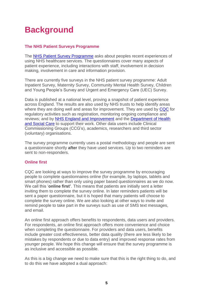# <span id="page-5-0"></span>**Background**

### **The NHS Patient Surveys Programme**

The [NHS Patient Survey Programme](https://www.cqc.org.uk/publications/surveys/surveys-programme-information) asks about peoples recent experiences of using NHS healthcare services. The questionnaires cover many aspects of patient experience, including interactions with staff, involvement in decision making, involvement in care and information provision.

There are currently five surveys in the NHS patient survey programme: Adult Inpatient Survey, Maternity Survey, Community Mental Health Survey, Children and Young People's Survey and Urgent and Emergency Care (UEC) Survey.

Data is published at a national level, proving a snapshot of patient experience across England. The results are also used by NHS trusts to help identify areas where they are doing well and areas for improvement. They are used by [CQC](https://www.cqc.org.uk/guidance-providers/nhs-trusts/cqc-insight-nhs-trusts) for regulatory activities such as registration, monitoring ongoing compliance and reviews; and by [NHS England and Improvement](https://www.england.nhs.uk/statistics/statistical-work-areas/pat-exp/) and the [Department of Health](https://www.gov.uk/government/organisations/department-of-health-and-social-care) [and Social Care](https://www.gov.uk/government/organisations/department-of-health-and-social-care) to support their work. Other data users include Clinical Commissioning Groups (CCG's), academics, researchers and third sector (voluntary) organisations.

The survey programme currently uses a postal methodology and people are sent a questionnaire shortly **after** they have used services. Up to two reminders are sent to non-responders.

### **Online first**

CQC are looking at ways to improve the survey programme by encouraging people to complete questionnaires online (for example, by laptops, tablets and smart phones) rather than only using paper based questionnaires as we do now. We call this '**online first'**. This means that patients are initially sent a letter inviting them to complete the survey online. In later reminders patients will be sent a paper questionnaire, but it is hoped that many patients will choose to complete the survey online. We are also looking at other ways to invite and remind people to take part in the surveys such as use of SMS text messages, and email.

An online first approach offers benefits to respondents, data users and providers. For respondents, an online first approach offers more convenience and choice when completing the questionnaire. For providers and data users, benefits include greater cost effectiveness, better data quality (there are less likely to be mistakes by respondents or due to data entry) and improved response rates from younger people. We hope this change will ensure that the survey programme is as inclusive and accessible as possible.

As this is a big change we need to make sure that this is the right thing to do, and to do this we have adopted a dual approach: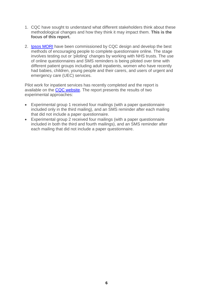- 1. CQC have sought to understand what different stakeholders think about these methodological changes and how they think it may impact them. **This is the focus of this report.**
- 2. [Ipsos MORI](https://www.ipsos.com/ipsos-mori/en-uk) have been commissioned by CQC design and develop the best methods of encouraging people to complete questionnaire online. The stage involves testing out or 'piloting' changes by working with NHS trusts. The use of online questionnaires and SMS reminders is being piloted over time with different patient groups including adult inpatients, women who have recently had babies, children, young people and their carers, and users of urgent and emergency care (UEC) services.

Pilot work for inpatient services has recently completed and the report is available on the [CQC website.](https://www.cqc.org.uk/publications/surveys/surveys-programme-information) The report presents the results of two experimental approaches:

- Experimental group 1 received four mailings (with a paper questionnaire included only in the third mailing), and an SMS reminder after each mailing that did not include a paper questionnaire.
- Experimental group 2 received four mailings (with a paper questionnaire included in both the third and fourth mailings), and an SMS reminder after each mailing that did not include a paper questionnaire.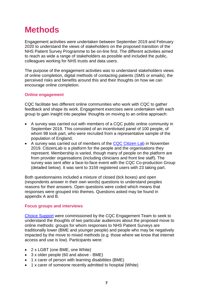## <span id="page-7-0"></span>**Methods**

Engagement activities were undertaken between September 2019 and February 2020 to understand the views of stakeholders on the proposed transition of the NHS Patient Survey Programme to be on-line first. The different activities aimed to reach as wide a range of stakeholders as possible and included the public, colleagues working for NHS trusts and data users.

The purpose of the engagement activities was to understand stakeholders views of online completion, digital methods of contacting patients (SMS or emails), the perceived risks and benefits around this and their thoughts on how we can encourage online completion.

#### **Online engagement**

CQC facilitate two different online communities who work with CQC to gather feedback and shape its work. Engagement exercises were undertaken with each group to gain insight into peoples' thoughts on moving to an online approach:

- A survey was carried out with members of a CQC public online community in September 2019. This consisted of an incentivised panel of 100 people, of whom 98 took part, who were recruited from a representative sample of the population of England;
- A survey was carried out of members of the [CQC Citizen Lab](https://cqc.citizenlab.co/en-GB/) in November 2019. CitizenLab is a platform for the people and the organisations they represent. Membership is varied, though many of people on the platform are from provider organisations (including clinicians and front line staff). The survey was sent after a face-to-face event with the CQC Co-production Group (detailed below). It was sent to 3159 registered users with 23 taking part.

Both questionnaires included a mixture of closed (tick boxes) and open (respondents answer in their own words) questions to understand peoples reasons for their answers. Open questions were coded which means that responses were grouped into themes. Questions asked may be found in appendix A and B.

#### **Focus groups and interviews**

[Choice Support](https://www.choicesupport.org.uk/) were commissioned by the CQC Engagement Team to seek to understand the thoughts of two particular audiences about the proposed move to online methods: groups for whom responses to NHS Patient Surveys are traditionally lower (BME and younger people) and people who may be negatively impacted by the move to mixed methods (e.g. those where we know that internet access and use is low). Participants were:

- 2 x LGBT (one BME, one White)
- 3 x older people (60 and above BME)
- 1 x carer of person with learning disabilities (BME)
- 1 x carer of someone recently admitted to hospital (White)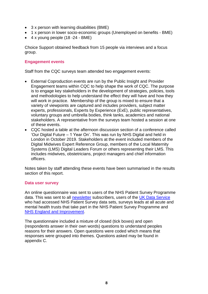- 3 x person with learning disabilities (BME)
- 1 x person in lower socio-economic groups (Unemployed on benefits BME)
- $\bullet$  4 x young people (18 -24 BME)

Choice Support obtained feedback from 15 people via interviews and a focus group.

#### **Engagement events**

Staff from the CQC surveys team attended two engagement events:

- External Coproduction events are run by the Public Insight and Provider Engagement teams within CQC to help shape the work of CQC. The purpose is to engage key stakeholders in the development of strategies, policies, tools and methodologies to help understand the effect they will have and how they will work in practice. Membership of the group is mixed to ensure that a variety of viewpoints are captured and includes providers, subject matter experts, professionals, Experts by Experience (ExE), public representatives, voluntary groups and umbrella bodies, think tanks, academics and national stakeholders. A representative from the surveys team hosted a session at one of these events.
- CQC hosted a table at the afternoon discussion section of a conference called 'Our Digital Future – 1 Year On'. This was run by NHS Digital and held in London in October 2019. Stakeholders at the event included members of the Digital Midwives Expert Reference Group, members of the Local Maternity Systems (LMS) Digital Leaders Forum or others representing their LMS. This includes midwives, obstetricians, project managers and chief information officers.

Notes taken by staff attending these events have been summarised in the results section of this report.

#### **Data user survey**

An online questionnaire was sent to users of the NHS Patient Survey Programme data. This was sent to all [newsletter](https://content.govdelivery.com/bulletins/gd/UKCQC-2745b3c?wgt_ref=UKCQC_WIDGET_5) subscribers, users of the [UK Data Service](https://www.ukdataservice.ac.uk/) who had accessed NHS Patient Survey data sets, surveys leads at all acute and mental health trusts that take part in the NHS Patient Survey Programme and [NHS England and](https://www.england.nhs.uk/2020/01/rapid-nhs-response-teams-to-help-people-stay-well-at-home/) Improvement.

The questionnaire included a mixture of closed (tick boxes) and open (respondents answer in their own words) questions to understand peoples reasons for their answers. Open questions were coded which means that responses were grouped into themes. Questions asked may be found in appendix C.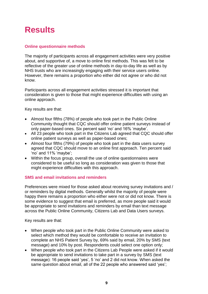### <span id="page-9-0"></span>**Results**

### <span id="page-9-1"></span>**Online questionnaire methods**

The majority of participants across all engagement activities were very positive about, and supportive of, a move to online first methods. This was felt to be reflective of the greater use of online methods in day-to-day life as well as by NHS trusts who are increasingly engaging with their service users online. However, there remains a proportion who either did not agree or who did not know.

Participants across all engagement activities stressed it is important that consideration is given to those that might experience difficulties with using an online approach.

Key results are that:

- Almost four fifths (78%) of people who took part in the Public Online Community thought that CQC should offer online patient surveys instead of only paper-based ones. Six percent said 'no' and 16% 'maybe'.
- All 23 people who took part in the Citizens Lab agreed that CQC should offer online patient surveys as well as paper-based ones;
- Almost four fifths (79%) of people who took part in the data users survey agreed that CQC should move to an online first approach. Ten percent said 'no' and 11% 'maybe';
- Within the focus group, overall the use of online questionnaires were considered to be useful so long as consideration was given to those that might experience difficulties with this approach.

#### <span id="page-9-2"></span>**SMS and email invitations and reminders**

Preferences were mixed for those asked about receiving survey invitations and / or reminders by digital methods. Generally whilst the majority of people were happy there remains a proportion who either were not or did not know. There is some evidence to suggest that email is preferred, as more people said it would be appropriate to send invitations and reminders by email than text message across the Public Online Community, Citizens Lab and Data Users surveys.

Key results are that:

- When people who took part in the Public Online Community were asked to select which method they would be comfortable to receive an invitation to complete an NHS Patient Survey by, 69% said by email, 20% by SMS (text message) and 10% by post. Respondents could select one option only;
- When people who took part in the Citizens Lab People were asked if it would be appropriate to send invitations to take part in a survey by SMS (text message): 16 people said 'yes', 5 'no' and 2 did not know. When asked the same question about email, all of the 22 people who answered said 'yes';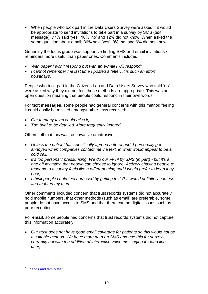• When people who took part in the Data Users Survey were asked if it would be appropriate to send invitations to take part in a survey by SMS (text message): 77% said 'yes', 10% 'no' and 12% did not know. When asked the same question about email, 86% said 'yes', 9% 'no' and 6% did not know.

Generally the focus group was supportive finding SMS and email invitations / reminders more useful than paper ones. Comments included:

- *With paper I won't respond but with an e-mail I will respond;*
- *I cannot remember the last time I posted a letter. It is such an effort nowadays.*

People who took part in the Citizens Lab and Data Users Survey who said 'no' were asked why they did not feel these methods are appropriate. This was an open question meaning that people could respond in their own words.

For **text messages**, some people had general concerns with this method feeling it could easily be missed amongst other texts received:

- *Get to many texts could miss it;*
- *Too brief to be detailed. More frequently ignored.*

Others felt that this was too invasive or intrusive:

- *Unless the patient has specifically agreed beforehand, I personally get annoyed when companies contact me via text, in what would appear to be a cold call.*
- *It's too personal / pressurising. We do our FFT<sup>a</sup> by SMS (in part) - but it's a one off invitation that people can choose to ignore. Actively chasing people to respond to a survey feels like a different thing and I would prefer to keep it by post;*
- *I think people could feel harassed by getting texts? It would definitely confuse and frighten my mum.*

Other comments included concern that trust records systems did not accurately hold mobile numbers, that other methods (such as email) are preferable, some people do not have access to SMS and that there can be digital issues such as poor reception.

For **email**, some people had concerns that trust records systems did not capture this information accurately:

• *Our trust does not have good email coverage for patients so this would not be a suitable method. We have more data on SMS and use this for surveys currently but with the addition of interactive voice messaging for land line user;.*

a [Friends and family test](https://www.england.nhs.uk/fft/)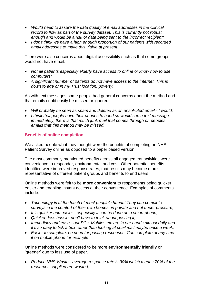- *Would need to assure the data quality of email addresses in the Clinical record to flow as part of the survey dataset. This is currently not robust enough and would be a risk of data being sent to the incorrect recipient;*
- *I don't think we have a high enough proportion of our patients with recorded email addresses to make this viable at present.*

There were also concerns about digital accessibility such as that some groups would not have email.

- *Not all patients especially elderly have access to online or know how to use computers;*
- *A significant number of patients do not have access to the internet. This is down to age or in my Trust location, poverty.*

As with text messages some people had general concerns about the method and that emails could easily be missed or ignored.

- *Will probably be seen as spam and deleted as an unsolicited email - I would;*
- *I think that people have their phones to hand so would see a text message immediately, there is that much junk mail that comes through on peoples emails that this method may be missed.*

#### <span id="page-11-0"></span>**Benefits of online completion**

We asked people what they thought were the benefits of completing an NHS Patient Survey online as opposed to a paper based version.

The most commonly mentioned benefits across all engagement activities were convenience to responder, environmental and cost. Other potential benefits identified were improved response rates, that results may become more representative of different patient groups and benefits to end users.

Online methods were felt to be **more convenient** to respondents being quicker, easier and enabling instant access at their convenience. Examples of comments include:

- *Technology is at the touch of most people's hands! They can complete surveys in the comfort of their own homes, in private and not under pressure;*
- *It is quicker and easier - especially if can be done on a smart phone;*
- *Quicker, less hassle, don't have to think about posting it;*
- *Immediacy and ease - our PCs, Mobiles etc are in our hands almost daily and it's so easy to tick a box rather than looking at snail mail maybe once a week;*
- *Easier to complete, no need for posting responses. Can complete at any time if on mobile phone for example.*

Online methods were considered to be more **environmentally friendly** or 'greener' due to less use of paper.

• *Reduce NHS Waste - average response rate is 30% which means 70% of the resources supplied are wasted;*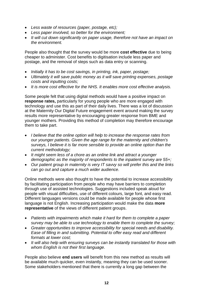- *Less waste of resources (paper, postage, etc);*
- *Less paper involved, so better for the environment;*
- *It will cut down significantly on paper usage, therefore not have an impact on the environment.*

People also thought that the survey would be more **cost effective** due to being cheaper to administer. Cost benefits to digitisation include less paper and postage, and the removal of steps such as data entry or scanning.

- *Initially it has to be cost savings, in printing, ink, paper, postage;*
- *Ultimately it will save public money as it will save printing expenses, postage costs and inputting costs;*
- *It is more cost effective for the NHS. It enables more cost effective analysis.*

Some people felt that using digital methods would have a positive impact on **response rates,** particularly for young people who are more engaged with technology and use this as part of their daily lives. There was a lot of discussion at the Maternity Our Digital Future engagement event around making the survey results more representative by encouraging greater response from BME and younger mothers. Providing this method of completion may therefore encourage them to take part.

- *I believe that the online option will help to increase the response rates from our younger patients. Given the age range for the maternity and children's surveys, I believe it is far more sensible to provide an online option than the current methodology;*
- *It might seem less of a chore as an online link and attract a younger demographic as the majority of respondents to the inpatient survey are 55+;*
- *Our patient group in maternity is very IT savvy so will prefer this and the links can go out and capture a much wider audience.*

Online methods were also thought to have the potential to increase accessibility by facilitating participation from people who may have barriers to completion through use of assisted technologies. Suggestions included speak aloud for people with visual difficulties, use of different colours, large font, and easy read. Different languages versions could be made available for people whose first language is not English. Increasing participation would make the data **more representative** of the views of different patient groups.

- *Patients with impairments which make it hard for them to complete a paper survey may be able to use technology to enable them to complete the survey;*
- *Greater opportunities to improve accessibility for special needs and disability. Ease of filling in and submitting. Potential to offer easy read and different formats at lower cost;*
- *It will also help with ensuring surveys can be instantly translated for those with whom English is not their first language.*

People also believe **end users** will benefit from this new method as results will be available much quicker, even instantly, meaning they can be used sooner. Some stakeholders mentioned that there is currently a long gap between the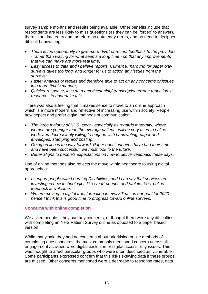survey sample months and results being available. Other benefits include that respondents are less likely to miss questions (as they can be 'forced' to answer), there is no data entry and therefore no data entry errors, and no need to decipher difficult handwriting:

- *There is the opportunity to give more "live" or recent feedback to the providers - rather than waiting for what seems a long time - so that any improvements that we can make are more real time;*
- *Easy access to data and I believe reports. Current turnaround for paper only surveys takes too long, and longer for us to action any issues from the surveys;*
- *Faster analysis of results and therefore able to act on any concerns or issues in a more timely manner;*
- *Quicker response, less data entry/scanning/ transcription errors; reduction in resources to undertake this.*

There was also a feeling that it makes sense to move to an online approach which is a more modern and reflective of increasing use within society. People now expect and prefer digital methods of communication:

- *The large majority of NHS users - especially as regards maternity, where women are younger than the average patient - will be very used to online work, and decreasingly willing to engage with handwriting, paper and envelopes, stamping and posting;*
- *Going on line is the way forward. Paper questionnaires have had their time and have been successful, we must look to the future;*
- *Better aligns to people's expectations on how to deliver feedback these days.*

Use of online methods also reflects the move within healthcare to using digital approaches:

- *I support people with Learning Disabilities, and I can say that services are investing in new technologies like smart phones and tablets. Yes, online feedback is welcome;*
- *We are moving to digital transformation in every Trust as our goal for 2020 hence I think this is good time to progress toward online surveys.*

#### <span id="page-13-0"></span>**Concerns with online completion**

We asked people if they had any concerns, or thought there were any difficulties, with completing an NHS Patient Survey online as opposed to a paper based version.

While many said they had no concerns about prioritising online methods of completing questionnaires, the most commonly mentioned concern across all engagement activities were digital exclusion or digital accessibility issues. This was thought to affect particular groups who were often described as 'vulnerable'. Some participants expressed concern that this risks skewing data if these groups are missed. Other concerns mentioned were a decrease to response rates, data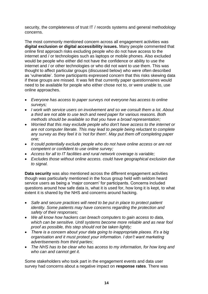security, the completeness of trust IT / records systems and general methodology concerns.

The most commonly mentioned concern across all engagement activities was **digital exclusion or digital accessibility issues.** Many people commented that online first approach risks excluding people who do not have access to the internet and / or technologies such as laptops or mobile phones. Also excluded would be people who either did not have the confidence or ability to use the internet and / or other technologies or who did not want to use them. This was thought to affect particular groups (discussed below) who were often described as 'vulnerable'. Some participants expressed concern that this risks skewing data if these groups are missed. It was felt that currently paper questionnaires would need to be available for people who either chose not to, or were unable to, use online approaches.

- *Everyone has access to paper surveys not everyone has access to online surveys;*
- *I work with service users on involvement and so we consult them a lot. About a third are not able to use tech and need paper for various reasons. Both methods should be available so that you have a broad representation;*
- *Worried that this may exclude people who don't have access to the internet or are not computer literate. This may lead to people being reluctant to complete any survey as they feel it is 'not for them'. May put them off completing paper one;*
- *It could potentially exclude people who do not have online access or are not competent or confident to use online survey;*
- *Access for all to IT facilities and rural network coverage is variable;*
- *Excludes those without online access. could have geographical exclusion due to signal.*

**Data security** was also mentioned across the different engagement activities though was particularly mentioned in the focus group held with seldom heard service users as being a 'major concern' for participants. Concerns included questions around how safe data is, what it is used for, how long it is kept, to what extent it is shared by the NHS and concerns around hacking.

- *Safe and secure practices will need to be put in place to protect patient identity. Some patients may have concerns regarding the protection and safety of their responses;*
- *We all know how hackers can breach computers to gain access to data, which can be sensitive. Until systems become more reliable and as near fool proof as possible, this step should not be taken lightly;*
- *There is a concern about your data going to inappropriate places. It's a big organisation and it must protect your information. I don't want marketing advertisements from third parties*;
- *The NHS has to be clear who has access to my information, for how long and who can and cannot get it.*

Some stakeholders who took part in the engagement events and data user survey had concerns about a negative impact on **response rates**. There was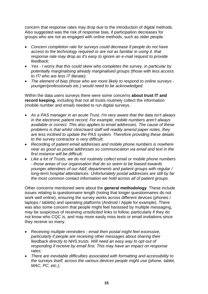concern that response rates may drop due to the introduction of digital methods. Also suggested was the risk of response bias, if participation decreases for groups who are not as engaged with online methods, such as older people.

- *Concern completion rate for surveys could decrease if people do not have access to the technology required or are not as familiar in using it. that response rate may drop as it's easy to ignore an e-mail request to provide feedback;*
- *Yes - I worry that this could skew who completes the survey, in particular by potentially marginalising already marginalised groups (those with less access to IT/ who are less IT literate);*
- *The element of bias (those who are more likely to respond to online surveys younger/professionals etc.) would need to be acknowledged.*

Within the data users surveys there were some concerns **about trust IT and record keeping**, including that not all trusts routinely collect the information (mobile number and email) needed to run digital surveys.

- *As a PAS manager in an acute Trust, I'm very aware that the data isn't always in the electronic patient record. For example, mobile numbers aren't always available or correct. This also applies to email addresses. The cause of these problems is that whilst clinic/ward staff will readily amend paper notes, they are less inclined to update the PAS system. Therefore providing these details to the survey contractor is very difficult;*
- *Recording of patient email addresses and mobile phone numbers is nowhere near as good as postal addresses so communication via email and text in the first instance will be difficult;*
- *Like a lot of Trusts, we do not routinely collect email or mobile phone numbers - those areas of our organisation that do so seem to be biased towards younger attendees of our A&E departments and patient groups with regular / long-term hospital attendances. Unfortunately postal addresses are still by far the most common contact information we hold across all of patient groups.*

Other concerns mentioned were about the **general methodology**. These include issues relating to questionnaire length (noting that longer questionnaires do not work well online), ensuring the survey works across different devices (phones / laptops / tablets) and operating platforms (Android / Apple for example). There was also some concern that people might feel harassed by multiple messaging, may be suspicious of receiving unsolicited links to follow, particularly if they do not know who CQC is, and may more easily miss texts or email invitations since they receive so many.

- *Receiving multiple reminders - email then postal might feel excessive, particularly if people are receiving other messages about sharing their feedback directly to NHS trusts. Will need an easy way to opt-out of responding if receive by email first. This may have an impact on response rates;*
- *There are inevitable difficulties associated with formatting and accessibility to the surveys itself, across the various devices people might use (phone, tablet, MAC, PC, etc.);*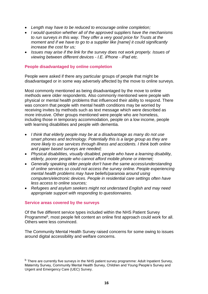- *Length may have to be reduced to encourage online completion;*
- *I would question whether all of the approved suppliers have the mechanisms to run surveys in this way. They offer a very good price for Trusts at the moment and if we have to go to a supplier like [name] it could significantly increase the cost for us;*
- *Issues may arise if the link for the survey does not work properly. Issues of viewing between different devices - I.E. iPhone - iPad etc.*

#### <span id="page-16-0"></span>**People disadvantaged by online completion**

People were asked if there any particular groups of people that might be disadvantaged or in some way adversely affected by the move to online surveys.

Most commonly mentioned as being disadvantaged by the move to online methods were older respondents. Also commonly mentioned were people with physical or mental health problems that influenced their ability to respond. There was concern that people with mental health conditions may be worried by receiving invites by methods such as text message which were described as more intrusive. Other groups mentioned were people who are homeless, including those in temporary accommodation, people on a low income, people with learning disabilities and people with dementia.

- *I think that elderly people may be at a disadvantage as many do not use smart phones and technology. Potentially this is a large group as they are more likely to use services through illness and accidents. I think both online and paper based surveys are needed;*
- *Physical disabilities, visually disabled, people who have a learning disability, elderly, poorer people who cannot afford mobile phone or internet;*
- *Generally speaking older people don't have the same access/understanding of online services so could not access the survey online. People experiencing mental health problems may have beliefs/paranoia around using computers/electronic devices. People in residential care settings often have less access to online sources;*
- *Refugees and asylum seekers might not understand English and may need appropriate support with responding to questionnaires.*

#### <span id="page-16-1"></span>**Service areas covered by the surveys**

Of the five different service types included within the NHS Patient Survey Programme<sup>b</sup>, most people felt content an online first approach could work for all. Others were less convinced.

The Community Mental Health Survey raised concerns for some owing to issues around digital accessibility and welfare concerns.

<sup>&</sup>lt;sup>b</sup> There are currently five surveys in the NHS patient survey programme: Adult Inpatient Survey, Maternity Survey, Community Mental Health Survey, Children and Young People's Survey and Urgent and Emergency Care (UEC) Survey.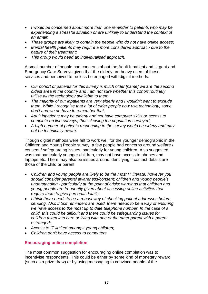- *I would be concerned about more than one reminder to patients who may be experiencing a stressful situation or are unlikely to understand the context of an email;*
- *These groups are likely to contain the people who do not have online access;*
- *Mental health patients may require a more considered approach due to the nature of their treatment;*
- *This group would need an individualised approach.*

A small number of people had concerns about the Adult Inpatient and Urgent and Emergency Care Surveys given that the elderly are heavy users of these services and perceived to be less be engaged with digital methods.

- *Our cohort of patients for this survey is much older [name] we are the second oldest area in the country and I am not sure whether this cohort routinely utilise all the technology available to them;*
- *The majority of our inpatients are very elderly and I wouldn't want to exclude them. While I recognise that a lot of older people now use technology, some don't and we do have to remember that;*
- *Adult inpatients may be elderly and not have computer skills or access to complete on line surveys, thus skewing the population surveyed;*
- *A high number of patients responding to the survey would be elderly and may not be technically aware.*

Though digital methods were felt to work well for the younger demographic in the Children and Young People survey, a few people had concerns around welfare / consent / safeguarding issues, particularly for young children. Also suggested was that particularly younger children, may not have access to phones and laptops etc. There may also be issues around identifying if contact details are those of the child or parent.

- *Children and young people are likely to be the most IT literate; however you should consider parental awareness/consent; children and young people's understanding - particularly at the point of crisis; warnings that children and young people are frequently given about accessing online activities that require them to give personal details;*
- *I think there needs to be a robust way of checking patient addresses before sending. Also if text reminders are used, there needs to be a way of ensuring we have access to the most up to date telephone number. In the case of a child, this could be difficult and there could be safeguarding issues for children taken into care or living with one or the other parent with a parent estranged;*
- *Access to IT limited amongst young children;*
- *Children don't have access to computers.*

### <span id="page-17-0"></span>**Encouraging online completion**

The most common suggestion for encouraging online completion was to incentivise respondents. This could be either by some kind of monetary reward (such as a prize draw) or by using messaging to convince people of the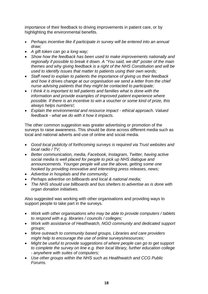importance of their feedback to driving improvements in patient care, or by highlighting the environmental benefits.

- *Perhaps incentive like if participate in survey will be entered into an annual draw;*
- *A gift token can go a long way;*
- *Show how the feedback has been used to make improvements nationally and regionally if possible to break it down. A "You said, we did" poster of the main themes and why giving feedback is a right of the NHS Constitution and will be used to identify issues that matter to patients using their own words;*
- *Staff need to explain to patients the importance of giving us their feedback and how it drives change at our organisation we send a letter from the chief nurse advising patients that they might be contacted to participate;*
- *I think it is important to tell patients and families what is done with the information and provide examples of improved patient experience where possible. If there is an incentive to win a voucher or some kind of prize, this always helps numbers!;*
- *Explain the environmental and resource impact - ethical approach. Valued feedback - what we do with it how it impacts.*

The other common suggestion was greater advertising or promotion of the surveys to raise awareness. This should be done across different media such as local and national adverts and use of online and social media.

- *Good local publicity of forthcoming surveys is required via Trust websites and local radio / TV;*
- *Better communication, media, Facebook, Instagram, Twitter, having active social media is well placed for people to pick up NHS dialogue and announcements. Younger people will use the above, getting some one hooked by providing innovative and interesting press releases, news;*
- *Advertise in hospitals and the community;*
- *Perhaps advertise on billboards and local & national media;*
- *The NHS should use billboards and bus shelters to advertise as is done with organ donation initiatives.*

Also suggested was working with other organisations and providing ways to support people to take part in the surveys.

- *Work with other organisations who may be able to provide computers / tablets to respond with e.g. libraries / councils / colleges;*
- *Work with assistance of Healthwatch, NGO community and dedicated support groups;*
- *More outreach to community based groups, Libraries and care providers might help to encourage the use of online surveys/resources;*
- *Might be useful to provide suggestions of where people can go to get support to complete the survey on line e.g. their local library, further education college - anywhere with suites of computers;*
- *Use other groups within the NHS such as Healthwatch and CCG Public Forums.*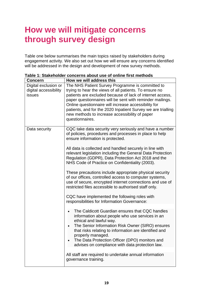### <span id="page-19-0"></span>**How we will mitigate concerns through survey design**

Table one below summarises the main topics raised by stakeholders during engagement activity. We also set out how we will ensure any concerns identified will be addressed in the design and development of new survey methods.

| <b>Concern</b>                                          | How we will address this                                                                                                                                                                                                                                                                                                                                                                                                          |
|---------------------------------------------------------|-----------------------------------------------------------------------------------------------------------------------------------------------------------------------------------------------------------------------------------------------------------------------------------------------------------------------------------------------------------------------------------------------------------------------------------|
| Digital exclusion or<br>digital accessibility<br>issues | The NHS Patient Survey Programme is committed to<br>trying to hear the views of all patients. To ensure no<br>patients are excluded because of lack of internet access,<br>paper questionnaires will be sent with reminder mailings.<br>Online questionnaire will increase accessibility for<br>patients, and for the 2020 Inpatient Survey we are trialling<br>new methods to increase accessibility of paper<br>questionnaires. |
| Data security                                           | CQC take data security very seriously and have a number<br>of policies, procedures and processes in place to help<br>ensure information is protected.<br>All data is collected and handled securely in line with<br>relevant legislation including the General Data Protection<br>Regulation (GDPR), Data Protection Act 2018 and the<br>NHS Code of Practice on Confidentiality (2003).                                          |
|                                                         | These precautions include appropriate physical security<br>of our offices, controlled access to computer systems,<br>use of secure, encrypted internet connections and use of<br>restricted files accessible to authorised staff only.<br>CQC have implemented the following roles with<br>responsibilities for Information Governance:                                                                                           |
|                                                         | The Caldicott Guardian ensures that CQC handles<br>information about people who use services in an<br>ethical and lawful way.<br>The Senior Information Risk Owner (SIRO) ensures<br>that risks relating to information are identified and<br>properly managed.<br>The Data Protection Officer (DPO) monitors and<br>advises on compliance with data protection law.                                                              |
|                                                         | All staff are required to undertake annual information<br>governance training.                                                                                                                                                                                                                                                                                                                                                    |

**Table 1: Stakeholder concerns about use of online first methods**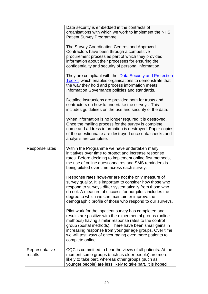|                           | Data security is embedded in the contracts of<br>organisations with which we work to implement the NHS<br>Patient Survey Programme.<br>The Survey Coordination Centres and Approved<br>Contractors have been through a competitive<br>procurement process as part of which they provided<br>information about their processes for ensuring the<br>confidentiality and security of personal information.<br>They are compliant with the 'Data Security and Protection<br>Toolkit' which enables organisations to demonstrate that<br>the way they hold and process information meets<br>Information Governance policies and standards.<br>Detailed instructions are provided both for trusts and<br>contractors on how to undertake the surveys. This<br>includes guidelines on the use and security of the data.<br>When information is no longer required it is destroyed.<br>Once the mailing process for the survey is complete,<br>name and address information is destroyed. Paper copies<br>of the questionnaire are destroyed once data checks and<br>analysis are complete. |
|---------------------------|-------------------------------------------------------------------------------------------------------------------------------------------------------------------------------------------------------------------------------------------------------------------------------------------------------------------------------------------------------------------------------------------------------------------------------------------------------------------------------------------------------------------------------------------------------------------------------------------------------------------------------------------------------------------------------------------------------------------------------------------------------------------------------------------------------------------------------------------------------------------------------------------------------------------------------------------------------------------------------------------------------------------------------------------------------------------------------------|
| Response rates            | Within the Programme we have undertaken many<br>initiatives over time to protect and increase response<br>rates. Before deciding to implement online first methods,<br>the use of online questionnaires and SMS reminders is<br>being piloted over time across each survey.<br>Response rates however are not the only measure of<br>survey quality. It is important to consider how those who<br>respond to surveys differ systematically from those who<br>do not. A measure of success for our pilots includes the<br>degree to which we can maintain or improve the<br>demographic profile of those who respond to our surveys.<br>Pilot work for the inpatient survey has completed and<br>results are positive with the experimental groups (online<br>methods) having similar response rates to the control<br>group (postal methods). There have been small gains in<br>increasing response from younger age groups. Over time<br>we will test ways of encouraging even more patients to<br>complete online.                                                                |
| Representative<br>results | CQC is committed to hear the views of all patients. At the<br>moment some groups (such as older people) are more<br>likely to take part, whereas other groups (such as<br>younger people) are less likely to take part. It is hoped                                                                                                                                                                                                                                                                                                                                                                                                                                                                                                                                                                                                                                                                                                                                                                                                                                                 |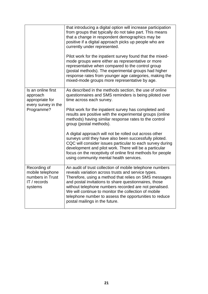|                                                                                        | that introducing a digital option will increase participation<br>from groups that typically do not take part. This means<br>that a change in respondent demographics may be<br>positive if a digital approach picks up people who are<br>currently under represented.<br>Pilot work for the inpatient survey found that the mixed-<br>mode groups were either as representative or more<br>representative when compared to the control group<br>(postal methods). The experimental groups had higher<br>response rates from younger age categories, making the<br>mixed-mode groups more representative by age. |
|----------------------------------------------------------------------------------------|-----------------------------------------------------------------------------------------------------------------------------------------------------------------------------------------------------------------------------------------------------------------------------------------------------------------------------------------------------------------------------------------------------------------------------------------------------------------------------------------------------------------------------------------------------------------------------------------------------------------|
| Is an online first<br>approach<br>appropriate for<br>every survey in the<br>Programme? | As described in the methods section, the use of online<br>questionnaires and SMS reminders is being piloted over<br>time across each survey.<br>Pilot work for the inpatient survey has completed and<br>results are positive with the experimental groups (online<br>methods) having similar response rates to the control<br>group (postal methods).                                                                                                                                                                                                                                                          |
|                                                                                        | A digital approach will not be rolled out across other<br>surveys until they have also been successfully piloted.<br>CQC will consider issues particular to each survey during<br>development and pilot work. There will be a particular<br>focus on the receptivity of online first methods for people<br>using community mental health services.                                                                                                                                                                                                                                                              |
| Recording of<br>mobile telephone<br>numbers in Trust<br>IT / records<br>systems        | An audit of trust collection of mobile telephone numbers<br>reveals variation across trusts and service types.<br>Therefore, using a method that relies on SMS messages<br>and postal invitations to share questionnaires, those<br>without telephone numbers recorded are not penalised.<br>We will continue to monitor the collection of mobile<br>telephone number to assess the opportunities to reduce<br>postal mailings in the future.                                                                                                                                                                   |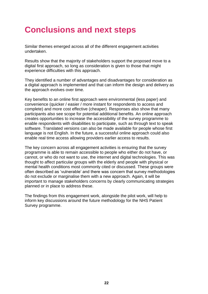### <span id="page-22-0"></span>**Conclusions and next steps**

Similar themes emerged across all of the different engagement activities undertaken.

Results show that the majority of stakeholders support the proposed move to a digital first approach, so long as consideration is given to those that might experience difficulties with this approach.

They identified a number of advantages and disadvantages for consideration as a digital approach is implemented and that can inform the design and delivery as the approach evolves over time.

Key benefits to an online first approach were environmental (less paper) and convenience (quicker / easier / more instant for respondents to access and complete) and more cost effective (cheaper). Responses also show that many participants also see scope for potential additional benefits. An online approach creates opportunities to increase the accessibility of the survey programme to enable respondents with disabilities to participate, such as through text to speak software. Translated versions can also be made available for people whose first language is not English. In the future, a successful online approach could also enable real time access allowing providers earlier access to results.

The key concern across all engagement activities is ensuring that the survey programme is able to remain accessible to people who either do not have, or cannot, or who do not want to use, the internet and digital technologies. This was thought to affect particular groups with the elderly and people with physical or mental health conditions most commonly cited or discussed. These groups were often described as 'vulnerable' and there was concern that survey methodologies do not exclude or marginalise them with a new approach. Again, it will be important to manage stakeholders concerns by clearly communicating strategies planned or in place to address these.

The findings from this engagement work, alongside the pilot work, will help to inform key discussions around the future methodology for the NHS Patient Survey programme.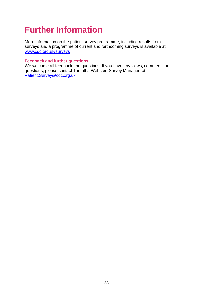# <span id="page-23-0"></span>**Further Information**

More information on the patient survey programme, including results from surveys and a programme of current and forthcoming surveys is available at: [www.cqc.org.uk/surveys](http://www.cqc.org.uk/surveys)

#### **Feedback and further questions**

We welcome all feedback and questions. If you have any views, comments or questions, please contact Tamatha Webster, Survey Manager, at [Patient.Survey@cqc.org.uk.](mailto:Patient.Survey@cqc.org.uk)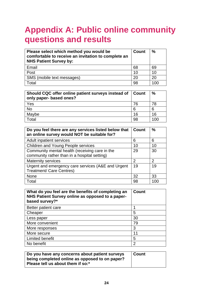# <span id="page-24-0"></span>**Appendix A: Public online community questions and results**

| Please select which method you would be<br>comfortable to receive an invitation to complete an<br><b>NHS Patient Survey by:</b> | <b>Count</b> | $\frac{0}{0}$ |
|---------------------------------------------------------------------------------------------------------------------------------|--------------|---------------|
| Email                                                                                                                           | 68           | 69            |
| Post                                                                                                                            | 10           | 10            |
| SMS (mobile text messages)                                                                                                      | 20           | 20            |
| Total                                                                                                                           | 98           | 100           |

| Should CQC offer online patient surveys instead of   Count<br>only paper- based ones? |    | $\frac{0}{0}$ |
|---------------------------------------------------------------------------------------|----|---------------|
| Yes                                                                                   | 76 | 78            |
| <b>No</b>                                                                             |    |               |
| Maybe                                                                                 | 16 | 16            |
| Total                                                                                 | 98 | 100           |

| Do you feel there are any services listed below that<br>an online survey would NOT be suitable for? | <b>Count</b> | %   |
|-----------------------------------------------------------------------------------------------------|--------------|-----|
| Adult inpatient services                                                                            | 6            | 6   |
| <b>Children and Young People services</b>                                                           | 10           | 10  |
| Community mental health (receiving care in the<br>community rather than in a hospital setting)      | 29           | 30  |
| <b>Maternity services</b>                                                                           | 2            | 2   |
| Urgent and emergency care services (A&E and Urgent<br><b>Treatment/ Care Centres)</b>               | 19           | 19  |
| <b>None</b>                                                                                         | 32           | 33  |
| Total                                                                                               | 98           | 100 |

| What do you feel are the benefits of completing an<br>NHS Patient Survey online as opposed to a paper-<br>based survey?* | <b>Count</b>   |
|--------------------------------------------------------------------------------------------------------------------------|----------------|
| Better patient care                                                                                                      |                |
| Cheaper                                                                                                                  | 5              |
| Less paper                                                                                                               | 30             |
| More convenient                                                                                                          | 79             |
| More responses                                                                                                           | 3              |
| More secure                                                                                                              | 11             |
| <b>Limited benefit</b>                                                                                                   | 5              |
| No benefit                                                                                                               | $\overline{2}$ |

| Do you have any concerns about patient surveys<br>being completed online as opposed to on paper? | <b>Count</b> |
|--------------------------------------------------------------------------------------------------|--------------|
| Please tell us about them if so:*                                                                |              |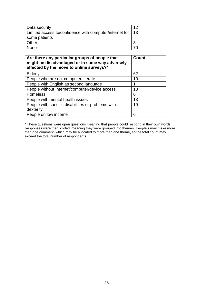| Data security                                                | イク |
|--------------------------------------------------------------|----|
| Limited access to/confidence with computer/internet for   13 |    |
| some patients                                                |    |
| Other                                                        |    |
| <b>None</b>                                                  |    |

| Are there any particular groups of people that<br>might be disadvantaged or in some way adversely<br>affected by the move to online surveys?* | <b>Count</b> |
|-----------------------------------------------------------------------------------------------------------------------------------------------|--------------|
| <b>Elderly</b>                                                                                                                                | 62           |
| People who are not computer literate                                                                                                          | 10           |
| People with English as second language                                                                                                        |              |
| People without Internet/computer/device access                                                                                                | 18           |
| <b>Homeless</b>                                                                                                                               | 6            |
| People with mental health issues                                                                                                              | 13           |
| People with specific disabilities or problems with                                                                                            | 19           |
| dexterity                                                                                                                                     |              |
| People on low income                                                                                                                          | 6            |

\* These questions were open questions meaning that people could respond in their own words. Responses were then 'coded' meaning they were grouped into themes. People's may make more than one comment, which may be allocated to more than one theme, so the total count may exceed the total number of respondents.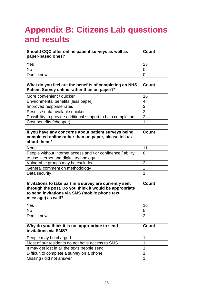# <span id="page-26-0"></span>**Appendix B: Citizens Lab questions and results**

| Should CQC offer online patient surveys as well as<br>paper-based ones? | <b>Count</b> |
|-------------------------------------------------------------------------|--------------|
| Yes                                                                     | 23           |
| No                                                                      |              |
| Don't know                                                              |              |

| What do you feel are the benefits of completing an NHS<br>Patient Survey online rather than on paper?* | Count |
|--------------------------------------------------------------------------------------------------------|-------|
| More convenient / quicker                                                                              | 16    |
| Environmental benefits (less paper)                                                                    | 4     |
| Improved response rates                                                                                | 3     |
| Results / data available quicker                                                                       | 2     |
| Possibility to provide additional support to help completion                                           | 2     |
| Cost benefits (cheaper)                                                                                |       |

| If you have any concerns about patient surveys being<br>completed online rather than on paper, please tell us<br>about them:* | Count |
|-------------------------------------------------------------------------------------------------------------------------------|-------|
| <b>None</b>                                                                                                                   | 11    |
| People without internet access and / or confidence / ability<br>to use internet and digital technology                        | 8     |
| Vulnerable groups may be excluded                                                                                             | 2     |
| General comment on methodology                                                                                                | 2     |
| Data security                                                                                                                 |       |

| Invitations to take part in a survey are currently sent<br>through the post. Do you think it would be appropriate<br>to send invitations via SMS (mobile phone text<br>message) as well? | Count |
|------------------------------------------------------------------------------------------------------------------------------------------------------------------------------------------|-------|
| Yes                                                                                                                                                                                      | 16    |
| <b>No</b>                                                                                                                                                                                | 5     |
| Don't know                                                                                                                                                                               | າ     |

| Why do you think it is not appropriate to send<br>invitations via SMS? | Count |
|------------------------------------------------------------------------|-------|
| People may be charged                                                  |       |
| Most of our residents do not have access to SMS                        |       |
| It may get lost in all the texts people send                           |       |
| Difficult to complete a survey on a phone                              |       |
| Missing / did not answer                                               |       |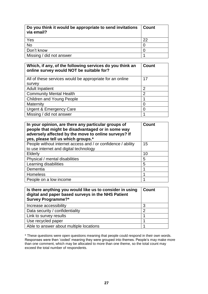| Do you think it would be appropriate to send invitations<br>via email? | ∣ Count |
|------------------------------------------------------------------------|---------|
| $\frac{Yes}{No}$                                                       | 22      |
|                                                                        |         |
| Don't know                                                             |         |
| Missing / did not answer                                               |         |

| Which, if any, of the following services do you think an<br>online survey would NOT be suitable for? | <b>Count</b>   |
|------------------------------------------------------------------------------------------------------|----------------|
| All of these services would be appropriate for an online                                             | 17             |
| survey                                                                                               |                |
| <b>Adult Inpatient</b>                                                                               | 2              |
| <b>Community Mental Health</b>                                                                       | $\overline{2}$ |
| <b>Children and Young People</b>                                                                     |                |
| Maternity                                                                                            | N              |
| <b>Urgent &amp; Emergency Care</b>                                                                   | ი              |
| Missing / did not answer                                                                             |                |

| In your opinion, are there any particular groups of<br>people that might be disadvantaged or in some way<br>adversely affected by the move to online surveys? If<br>yes, please tell us which groups.* | <b>Count</b> |
|--------------------------------------------------------------------------------------------------------------------------------------------------------------------------------------------------------|--------------|
| People without internet access and / or confidence / ability<br>to use internet and digital technology                                                                                                 | 15           |
| Elderly                                                                                                                                                                                                | 10           |
| Physical / mental disabilities                                                                                                                                                                         | 5            |
| Learning disabilities                                                                                                                                                                                  | 5            |
| Dementia                                                                                                                                                                                               |              |
| <b>Homeless</b>                                                                                                                                                                                        |              |
| People on a low income                                                                                                                                                                                 |              |

| Is there anything you would like us to consider in using<br>digital and paper based surveys in the NHS Patient<br><b>Survey Programme?*</b> | Count |
|---------------------------------------------------------------------------------------------------------------------------------------------|-------|
| Increase accessibility                                                                                                                      | 3     |
| Data security / confidentiality                                                                                                             | 2     |
| Link to survey results                                                                                                                      |       |
| Use recycled paper                                                                                                                          |       |
| Able to answer about multiple locations                                                                                                     |       |

\* These questions were open questions meaning that people could respond in their own words. Responses were then 'coded' meaning they were grouped into themes. People's may make more than one comment, which may be allocated to more than one theme, so the total count may exceed the total number of respondents.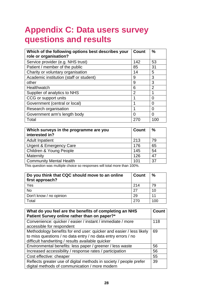# <span id="page-28-0"></span>**Appendix C: Data users survey questions and results**

| Which of the following options best describes your<br>role or organisation? | <b>Count</b>   | $\frac{0}{0}$  |
|-----------------------------------------------------------------------------|----------------|----------------|
| Service provider (e.g. NHS trust)                                           | 142            | 53             |
| Patient / member of the public                                              | 85             | 31             |
| Charity or voluntary organisation                                           | 14             | 5              |
| Academic institution (staff or student)                                     | 9              | 3              |
| other                                                                       | 9              | 3              |
| Healthwatch                                                                 | 6              | $\overline{2}$ |
| Supplier of analytics to NHS                                                | $\overline{2}$ |                |
| CCG or support units                                                        |                | O              |
| Government (central or local)                                               |                | 0              |
| Research organisation                                                       |                | ი              |
| Government arm's length body                                                | ∩              | O              |
| Total                                                                       | 270            | 100            |

| Which surveys in the programme are you<br>interested in? | <b>Count</b> | $\frac{9}{6}$ |
|----------------------------------------------------------|--------------|---------------|
| <b>Adult Inpatient</b>                                   | 213          | 79            |
| Urgent & Emergency Care                                  | 176          | 65            |
| Children & Young People                                  | 145          | 54            |
| Maternity                                                | 126          | 47            |
| <b>Community Mental Health</b>                           | 101          | 37            |

This question was multiple choice so responses will total more than 100%.

| Do you think that CQC should move to an online<br>first approach? | Count | $\frac{0}{0}$ |
|-------------------------------------------------------------------|-------|---------------|
| Yes                                                               | 214   | 79            |
| <b>No</b>                                                         | 27    | 10            |
| Don't know / no opinion                                           | 29    | 11            |
| Total                                                             | 270   | 100           |

| What do you feel are the benefits of completing an NHS<br>Patient Survey online rather than on paper?*                                                                                    | <b>Count</b> |
|-------------------------------------------------------------------------------------------------------------------------------------------------------------------------------------------|--------------|
| Convenience: quicker / easier / instant / immediate / more<br>accessible for respondent                                                                                                   | 118          |
| Methodology benefits for end user: quicker and easier / less likely<br>to miss questions / no data entry / no data entry errors / no<br>difficult handwriting / results available quicker | 69           |
| Environmental benefits: less paper / greener / less waste                                                                                                                                 | 56           |
| Increased accessibility / response rates / participation                                                                                                                                  | 56           |
| Cost effective: cheaper                                                                                                                                                                   | 55           |
| Reflects greater use of digital methods in society / people prefer<br>digital methods of communication / more modern                                                                      | 39           |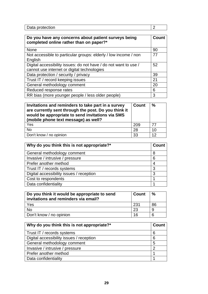| -- -- -<br>.<br>Pala |  |
|----------------------|--|

| Do you have any concerns about patient surveys being<br>completed online rather than on paper?*                 | <b>Count</b> |
|-----------------------------------------------------------------------------------------------------------------|--------------|
| <b>None</b>                                                                                                     | 90           |
| Not accessible to particular groups: elderly / low income / non<br>English                                      | 77           |
| Digital accessibility issues: do not have / do not want to use /<br>cannot use internet or digital technologies | 52           |
| Data protection / security / privacy                                                                            | 39           |
| Trust IT / record keeping issues                                                                                | 21           |
| General methodology comment                                                                                     | 20           |
| Reduced response rates                                                                                          | 6            |
| RR bias (more younger people / less older people)                                                               | 3            |

| Invitations and reminders to take part in a survey<br>are currently sent through the post. Do you think it<br>would be appropriate to send invitations via SMS<br>(mobile phone text message) as well? | <b>Count</b> | $\frac{0}{0}$ |
|--------------------------------------------------------------------------------------------------------------------------------------------------------------------------------------------------------|--------------|---------------|
| Yes                                                                                                                                                                                                    | 209          | 77            |
| <b>No</b>                                                                                                                                                                                              | 28           | 10            |
| Don't know / no opinion                                                                                                                                                                                | 33           | 12            |

| Why do you think this is not appropriate?* | <b>Count</b> |
|--------------------------------------------|--------------|
| General methodology comment                | 8            |
| Invasive / intrusive / pressure            | 6            |
| Prefer another method                      |              |
| Trust IT / records systems                 | 3            |
| Digital accessibility issues / reception   | 3            |
| Cost to respondents                        |              |
| Data confidentiality                       |              |

| Do you think it would be appropriate to send<br>invitations and reminders via email? | <b>Count</b> | $\%$ |
|--------------------------------------------------------------------------------------|--------------|------|
| Yes                                                                                  | 231          | 86   |
| <b>No</b>                                                                            | 23           |      |
| Don't know / no opinion                                                              | 16           | 6    |

| Why do you think this is not appropriate?* | Count |
|--------------------------------------------|-------|
| Trust IT / records systems                 | 6     |
| Digital accessibility issues / reception   | 6     |
| General methodology comment                | 5     |
| Invasive / intrusive / pressure            | ⌒     |
| Prefer another method                      |       |
| Data confidentiality                       |       |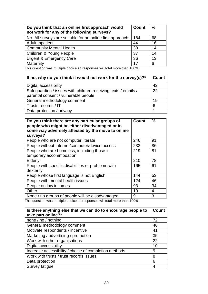| Do you think that an online first approach would<br>not work for any of the following surveys? | Count | $\frac{0}{0}$ |
|------------------------------------------------------------------------------------------------|-------|---------------|
| No. All surveys are suitable for an online first approach.                                     | 184   | 68            |
| <b>Adult Inpatient</b>                                                                         | 44    | 16            |
| <b>Community Mental Health</b>                                                                 | 38    | 14            |
| Children & Young People                                                                        | 37    | 14            |
| <b>Urgent &amp; Emergency Care</b>                                                             | 36    | 13            |
| Maternity                                                                                      | 17    | 6             |

This question was multiple choice so responses will total more than 100%.

| If no, why do you think it would not work for the survey(s)? $*$ | <b>Count</b> |
|------------------------------------------------------------------|--------------|
| Digital accessibility                                            | 42           |
| Safeguarding / issues with children receiving texts / emails /   | 22           |
| parental consent / vulnerable people                             |              |
| General methodology comment                                      | 19           |
| Trusts records / IT                                              | 6            |
| Data protection / privacy                                        |              |

| Do you think there are any particular groups of<br>people who might be either disadvantaged or in<br>some way adversely affected by the move to online<br>surveys? | Count | $\frac{0}{0}$ |
|--------------------------------------------------------------------------------------------------------------------------------------------------------------------|-------|---------------|
| People who are not computer literate                                                                                                                               | 246   | 91            |
| People without Internet/computer/device access                                                                                                                     | 233   | 86            |
| People who are homeless, including those in<br>temporary accommodation                                                                                             | 219   | 81            |
| <b>Elderly</b>                                                                                                                                                     | 210   | 78            |
| People with specific disabilities or problems with<br>dexterity                                                                                                    | 165   | 61            |
| People whose first language is not English                                                                                                                         | 144   | 53            |
| People with mental health issues                                                                                                                                   | 124   | 46            |
| People on low incomes                                                                                                                                              | 93    | 34            |
| Other                                                                                                                                                              | 10    | 4             |
| None / no groups of people will be disadvantaged                                                                                                                   | 9     | 3             |

This question was multiple choice so responses will total more than 100%.

| Is there anything else that we can do to encourage people to | <b>Count</b> |
|--------------------------------------------------------------|--------------|
| take part online?*                                           |              |
| none / no / nothing                                          | 72           |
| General methodology comment                                  | 46           |
| Motivate respondents / incentive                             | 41           |
| Marketing / advertising / promotion                          | 35           |
| Work with other organisations                                | 22           |
| Digital accessibility                                        | 10           |
| Increase accessibility / choice of completion methods        | 9            |
| Work with trusts / trust records issues                      | 8            |
| Data protection                                              | 6            |
| Survey fatique                                               |              |